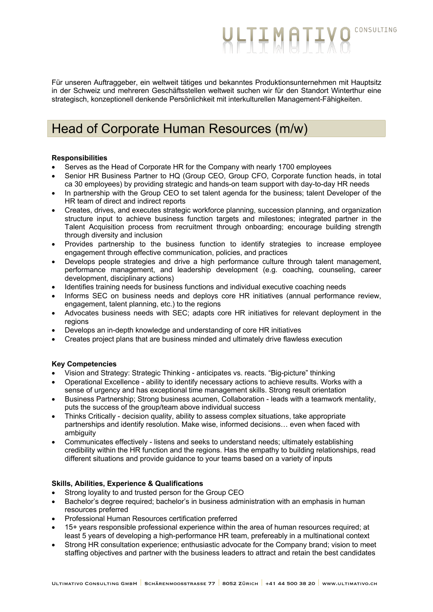Für unseren Auftraggeber, ein weltweit tätiges und bekanntes Produktionsunternehmen mit Hauptsitz in der Schweiz und mehreren Geschäftsstellen weltweit suchen wir für den Standort Winterthur eine strategisch, konzeptionell denkende Persönlichkeit mit interkulturellen Management-Fähigkeiten.

**WLTIMATIY** 

CONSULTING

# Head of Corporate Human Resources (m/w)

### **Responsibilities**

- Serves as the Head of Corporate HR for the Company with nearly 1700 employees
- Senior HR Business Partner to HQ (Group CEO, Group CFO, Corporate function heads, in total ca 30 employees) by providing strategic and hands-on team support with day-to-day HR needs
- In partnership with the Group CEO to set talent agenda for the business; talent Developer of the HR team of direct and indirect reports
- Creates, drives, and executes strategic workforce planning, succession planning, and organization structure input to achieve business function targets and milestones; integrated partner in the Talent Acquisition process from recruitment through onboarding; encourage building strength through diversity and inclusion
- Provides partnership to the business function to identify strategies to increase employee engagement through effective communication, policies, and practices
- Develops people strategies and drive a high performance culture through talent management, performance management, and leadership development (e.g. coaching, counseling, career development, disciplinary actions)
- Identifies training needs for business functions and individual executive coaching needs
- Informs SEC on business needs and deploys core HR initiatives (annual performance review, engagement, talent planning, etc.) to the regions
- Advocates business needs with SEC; adapts core HR initiatives for relevant deployment in the regions
- Develops an in-depth knowledge and understanding of core HR initiatives
- Creates project plans that are business minded and ultimately drive flawless execution

## **Key Competencies**

- Vision and Strategy: Strategic Thinking anticipates vs. reacts. "Big-picture" thinking
- Operational Excellence ability to identify necessary actions to achieve results. Works with a sense of urgency and has exceptional time management skills. Strong result orientation
- Business Partnership; Strong business acumen, Collaboration leads with a teamwork mentality, puts the success of the group/team above individual success
- Thinks Critically decision quality, ability to assess complex situations, take appropriate partnerships and identify resolution. Make wise, informed decisions… even when faced with ambiguity
- Communicates effectively listens and seeks to understand needs; ultimately establishing credibility within the HR function and the regions. Has the empathy to building relationships, read different situations and provide guidance to your teams based on a variety of inputs

## **Skills, Abilities, Experience & Qualifications**

- Strong loyality to and trusted person for the Group CEO
- Bachelor's degree required; bachelor's in business administration with an emphasis in human resources preferred
- Professional Human Resources certification preferred
- 15+ years responsible professional experience within the area of human resources required; at least 5 years of developing a high-performance HR team, prefereably in a multinational context
- Strong HR consultation experience; enthusiastic advocate for the Company brand; vision to meet staffing objectives and partner with the business leaders to attract and retain the best candidates